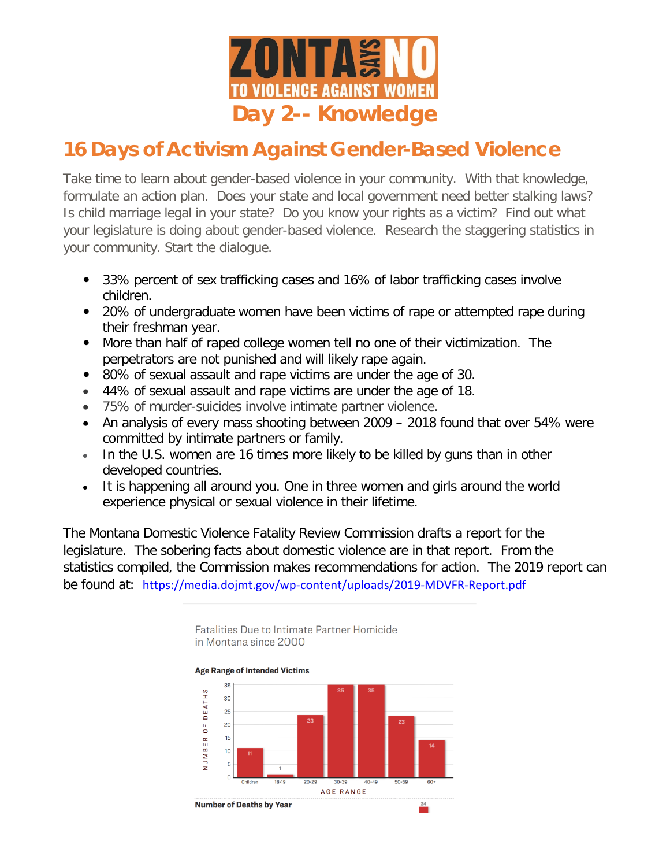

## **16 Days of Activism Against Gender-Based Violence**

Take time to learn about gender-based violence in your community. With that knowledge, formulate an action plan. Does your state and local government need better stalking laws? Is child marriage legal in your state? Do you know your rights as a victim? Find out what your legislature is doing about gender-based violence. Research the staggering statistics in your community. Start the dialogue.

- 33% percent of sex trafficking cases and 16% of labor trafficking cases involve children.
- 20% of undergraduate women have been victims of rape or attempted rape during their freshman year.
- More than half of raped college women tell no one of their victimization. The perpetrators are not punished and will likely rape again.
- 80% of sexual assault and rape victims are under the age of 30.
- 44% of sexual assault and rape victims are under the age of 18.
- 75% of murder-suicides involve intimate partner violence.
- An analysis of every mass shooting between 2009 2018 found that over 54% were committed by intimate partners or family.
- In the U.S. women are 16 times more likely to be killed by guns than in other developed countries.
- It is happening all around you. One in three women and girls around the world experience physical or sexual violence in their lifetime.

The Montana Domestic Violence Fatality Review Commission drafts a report for the legislature. The sobering facts about domestic violence are in that report. From the statistics compiled, the Commission makes recommendations for action. The 2019 report can be found at: <https://media.dojmt.gov/wp-content/uploads/2019-MDVFR-Report.pdf>